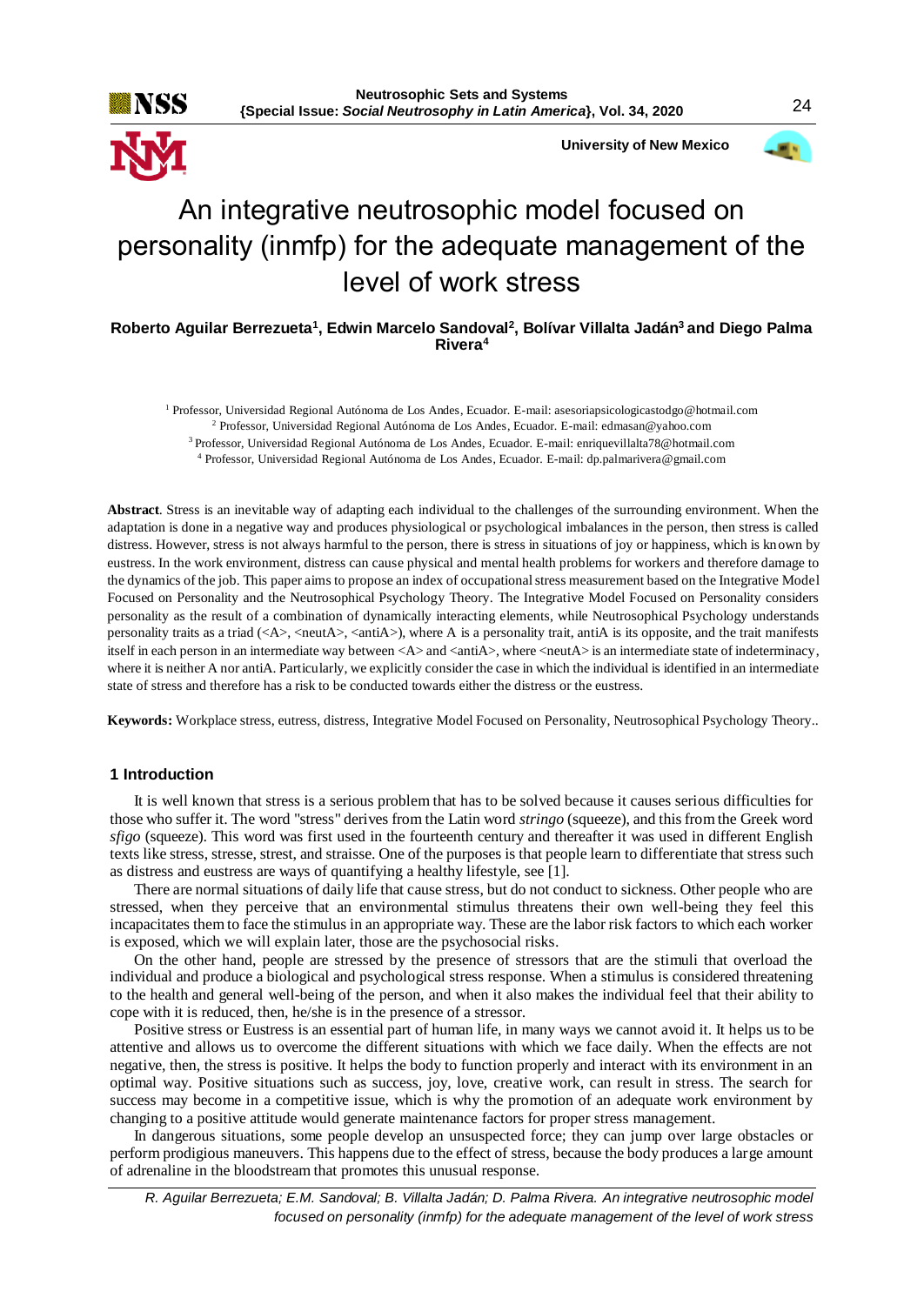**University of New Mexico**



# An integrative neutrosophic model focused on personality (inmfp) for the adequate management of the level of work stress

**Roberto Aguilar Berrezueta<sup>1</sup> , Edwin Marcelo Sandoval<sup>2</sup> , Bolívar Villalta Jadán<sup>3</sup>and Diego Palma Rivera<sup>4</sup>**

 Professor, Universidad Regional Autónoma de Los Andes, Ecuador. E-mail: asesoriapsicologicastodgo@hotmail.com Professor, Universidad Regional Autónoma de Los Andes, Ecuador. E-mail: edmasan@yahoo.com Professor, Universidad Regional Autónoma de Los Andes, Ecuador. E-mail: enriquevillalta78@hotmail.com Professor, Universidad Regional Autónoma de Los Andes, Ecuador. E-mail: dp.palmarivera@gmail.com

**Abstract**. Stress is an inevitable way of adapting each individual to the challenges of the surrounding environment. When the adaptation is done in a negative way and produces physiological or psychological imbalances in the person, then stress is called distress. However, stress is not always harmful to the person, there is stress in situations of joy or happiness, which is known by eustress. In the work environment, distress can cause physical and mental health problems for workers and therefore damage to the dynamics of the job. This paper aims to propose an index of occupational stress measurement based on the Integrative Model Focused on Personality and the Neutrosophical Psychology Theory. The Integrative Model Focused on Personality considers personality as the result of a combination of dynamically interacting elements, while Neutrosophical Psychology understands personality traits as a triad (<A>, <neutA>, <antiA>), where A is a personality trait, antiA is its opposite, and the trait manifests itself in each person in an intermediate way between <A> and <antiA>, where <neutA> is an intermediate state of indeterminacy, where it is neither A nor antiA. Particularly, we explicitly consider the case in which the individual is identified in an intermediate state of stress and therefore has a risk to be conducted towards either the distress or the eustress.

**Keywords:** Workplace stress, eutress, distress, Integrative Model Focused on Personality, Neutrosophical Psychology Theory..

### **1 Introduction**

It is well known that stress is a serious problem that has to be solved because it causes serious difficulties for those who suffer it. The word "stress" derives from the Latin word *stringo* (squeeze), and this from the Greek word *sfigo* (squeeze). This word was first used in the fourteenth century and thereafter it was used in different English texts like stress, stresse, strest, and straisse. One of the purposes is that people learn to differentiate that stress such as distress and eustress are ways of quantifying a healthy lifestyle, see [1].

There are normal situations of daily life that cause stress, but do not conduct to sickness. Other people who are stressed, when they perceive that an environmental stimulus threatens their own well-being they feel this incapacitates them to face the stimulus in an appropriate way. These are the labor risk factors to which each worker is exposed, which we will explain later, those are the psychosocial risks.

On the other hand, people are stressed by the presence of stressors that are the stimuli that overload the individual and produce a biological and psychological stress response. When a stimulus is considered threatening to the health and general well-being of the person, and when it also makes the individual feel that their ability to cope with it is reduced, then, he/she is in the presence of a stressor.

Positive stress or Eustress is an essential part of human life, in many ways we cannot avoid it. It helps us to be attentive and allows us to overcome the different situations with which we face daily. When the effects are not negative, then, the stress is positive. It helps the body to function properly and interact with its environment in an optimal way. Positive situations such as success, joy, love, creative work, can result in stress. The search for success may become in a competitive issue, which is why the promotion of an adequate work environment by changing to a positive attitude would generate maintenance factors for proper stress management.

In dangerous situations, some people develop an unsuspected force; they can jump over large obstacles or perform prodigious maneuvers. This happens due to the effect of stress, because the body produces a large amount of adrenaline in the bloodstream that promotes this unusual response.

*R. Aguilar Berrezueta; E.M. Sandoval; B. Villalta Jadán; D. Palma Rivera. An integrative neutrosophic model focused on personality (inmfp) for the adequate management of the level of work stress*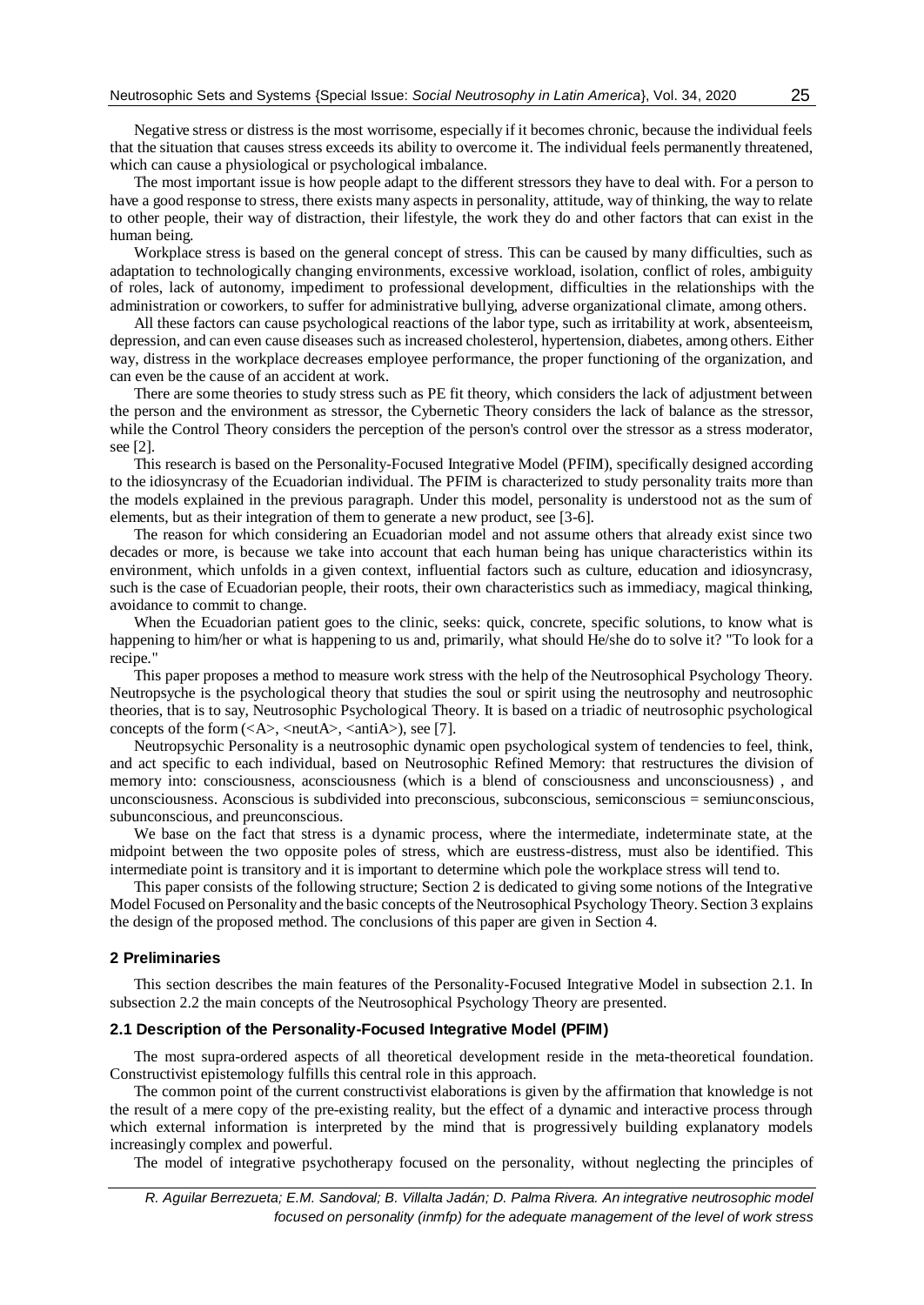Negative stress or distress is the most worrisome, especially if it becomes chronic, because the individual feels that the situation that causes stress exceeds its ability to overcome it. The individual feels permanently threatened, which can cause a physiological or psychological imbalance.

The most important issue is how people adapt to the different stressors they have to deal with. For a person to have a good response to stress, there exists many aspects in personality, attitude, way of thinking, the way to relate to other people, their way of distraction, their lifestyle, the work they do and other factors that can exist in the human being.

Workplace stress is based on the general concept of stress. This can be caused by many difficulties, such as adaptation to technologically changing environments, excessive workload, isolation, conflict of roles, ambiguity of roles, lack of autonomy, impediment to professional development, difficulties in the relationships with the administration or coworkers, to suffer for administrative bullying, adverse organizational climate, among others.

All these factors can cause psychological reactions of the labor type, such as irritability at work, absenteeism, depression, and can even cause diseases such as increased cholesterol, hypertension, diabetes, among others. Either way, distress in the workplace decreases employee performance, the proper functioning of the organization, and can even be the cause of an accident at work.

There are some theories to study stress such as PE fit theory, which considers the lack of adjustment between the person and the environment as stressor, the Cybernetic Theory considers the lack of balance as the stressor, while the Control Theory considers the perception of the person's control over the stressor as a stress moderator, see [2].

This research is based on the Personality-Focused Integrative Model (PFIM), specifically designed according to the idiosyncrasy of the Ecuadorian individual. The PFIM is characterized to study personality traits more than the models explained in the previous paragraph. Under this model, personality is understood not as the sum of elements, but as their integration of them to generate a new product, see [3-6].

The reason for which considering an Ecuadorian model and not assume others that already exist since two decades or more, is because we take into account that each human being has unique characteristics within its environment, which unfolds in a given context, influential factors such as culture, education and idiosyncrasy, such is the case of Ecuadorian people, their roots, their own characteristics such as immediacy, magical thinking, avoidance to commit to change.

When the Ecuadorian patient goes to the clinic, seeks: quick, concrete, specific solutions, to know what is happening to him/her or what is happening to us and, primarily, what should He/she do to solve it? "To look for a recipe."

This paper proposes a method to measure work stress with the help of the Neutrosophical Psychology Theory. Neutropsyche is the psychological theory that studies the soul or spirit using the neutrosophy and neutrosophic theories, that is to say, Neutrosophic Psychological Theory. It is based on a triadic of neutrosophic psychological concepts of the form  $(\langle A \rangle, \langle \text{neut} A \rangle, \langle \text{anti} A \rangle)$ , see [7].

Neutropsychic Personality is a neutrosophic dynamic open psychological system of tendencies to feel, think, and act specific to each individual, based on Neutrosophic Refined Memory: that restructures the division of memory into: consciousness, aconsciousness (which is a blend of consciousness and unconsciousness) , and unconsciousness. Aconscious is subdivided into preconscious, subconscious, semiconscious = semiunconscious, subunconscious, and preunconscious.

We base on the fact that stress is a dynamic process, where the intermediate, indeterminate state, at the midpoint between the two opposite poles of stress, which are eustress-distress, must also be identified. This intermediate point is transitory and it is important to determine which pole the workplace stress will tend to.

This paper consists of the following structure; Section 2 is dedicated to giving some notions of the Integrative Model Focused on Personality and the basic concepts of the Neutrosophical Psychology Theory. Section 3 explains the design of the proposed method. The conclusions of this paper are given in Section 4.

### **2 Preliminaries**

This section describes the main features of the Personality-Focused Integrative Model in subsection 2.1. In subsection 2.2 the main concepts of the Neutrosophical Psychology Theory are presented.

#### **2.1 Description of the Personality-Focused Integrative Model (PFIM)**

The most supra-ordered aspects of all theoretical development reside in the meta-theoretical foundation. Constructivist epistemology fulfills this central role in this approach.

The common point of the current constructivist elaborations is given by the affirmation that knowledge is not the result of a mere copy of the pre-existing reality, but the effect of a dynamic and interactive process through which external information is interpreted by the mind that is progressively building explanatory models increasingly complex and powerful.

The model of integrative psychotherapy focused on the personality, without neglecting the principles of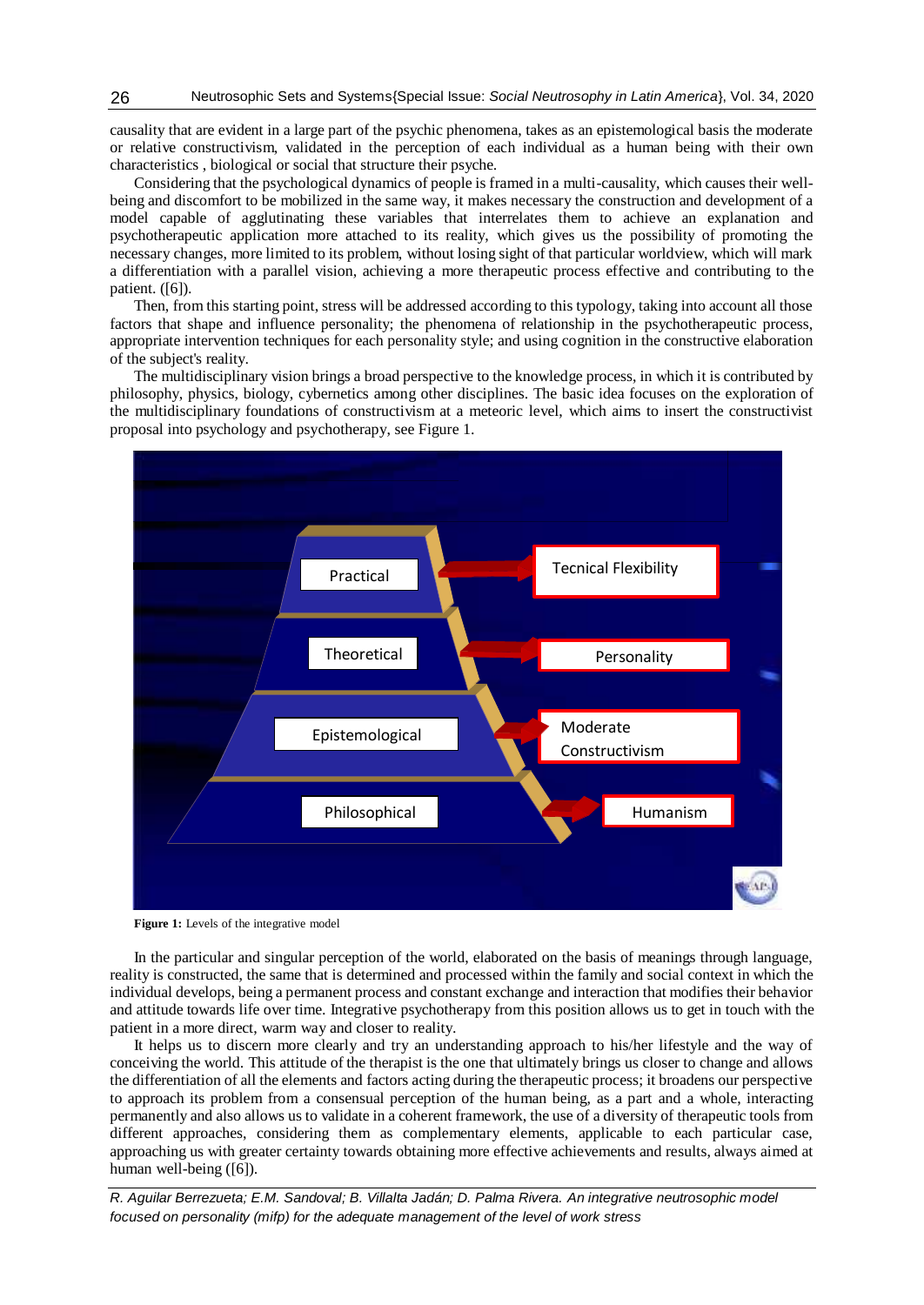causality that are evident in a large part of the psychic phenomena, takes as an epistemological basis the moderate or relative constructivism, validated in the perception of each individual as a human being with their own characteristics , biological or social that structure their psyche.

Considering that the psychological dynamics of people is framed in a multi-causality, which causes their wellbeing and discomfort to be mobilized in the same way, it makes necessary the construction and development of a model capable of agglutinating these variables that interrelates them to achieve an explanation and psychotherapeutic application more attached to its reality, which gives us the possibility of promoting the necessary changes, more limited to its problem, without losing sight of that particular worldview, which will mark a differentiation with a parallel vision, achieving a more therapeutic process effective and contributing to the patient. ([6]).

Then, from this starting point, stress will be addressed according to this typology, taking into account all those factors that shape and influence personality; the phenomena of relationship in the psychotherapeutic process, appropriate intervention techniques for each personality style; and using cognition in the constructive elaboration of the subject's reality.

The multidisciplinary vision brings a broad perspective to the knowledge process, in which it is contributed by philosophy, physics, biology, cybernetics among other disciplines. The basic idea focuses on the exploration of the multidisciplinary foundations of constructivism at a meteoric level, which aims to insert the constructivist proposal into psychology and psychotherapy, see Figure 1.



Figure 1: Levels of the integrative model

In the particular and singular perception of the world, elaborated on the basis of meanings through language, reality is constructed, the same that is determined and processed within the family and social context in which the individual develops, being a permanent process and constant exchange and interaction that modifies their behavior and attitude towards life over time. Integrative psychotherapy from this position allows us to get in touch with the patient in a more direct, warm way and closer to reality.

It helps us to discern more clearly and try an understanding approach to his/her lifestyle and the way of conceiving the world. This attitude of the therapist is the one that ultimately brings us closer to change and allows the differentiation of all the elements and factors acting during the therapeutic process; it broadens our perspective to approach its problem from a consensual perception of the human being, as a part and a whole, interacting permanently and also allows us to validate in a coherent framework, the use of a diversity of therapeutic tools from different approaches, considering them as complementary elements, applicable to each particular case, approaching us with greater certainty towards obtaining more effective achievements and results, always aimed at human well-being ([6]).

*R. Aguilar Berrezueta; E.M. Sandoval; B. Villalta Jadán; D. Palma Rivera. An integrative neutrosophic model focused on personality (mifp) for the adequate management of the level of work stress*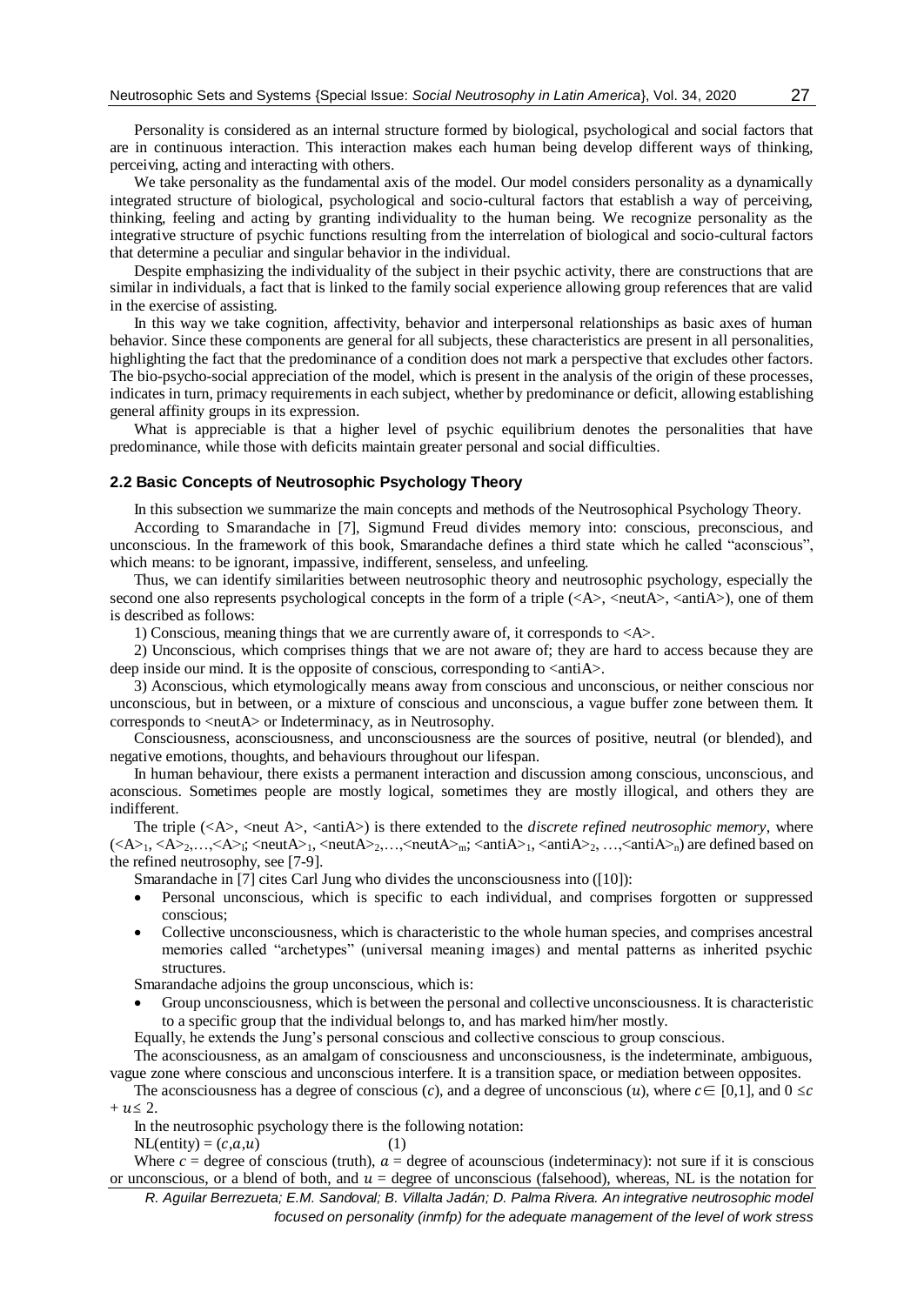Personality is considered as an internal structure formed by biological, psychological and social factors that are in continuous interaction. This interaction makes each human being develop different ways of thinking, perceiving, acting and interacting with others.

We take personality as the fundamental axis of the model. Our model considers personality as a dynamically integrated structure of biological, psychological and socio-cultural factors that establish a way of perceiving, thinking, feeling and acting by granting individuality to the human being. We recognize personality as the integrative structure of psychic functions resulting from the interrelation of biological and socio-cultural factors that determine a peculiar and singular behavior in the individual.

Despite emphasizing the individuality of the subject in their psychic activity, there are constructions that are similar in individuals, a fact that is linked to the family social experience allowing group references that are valid in the exercise of assisting.

In this way we take cognition, affectivity, behavior and interpersonal relationships as basic axes of human behavior. Since these components are general for all subjects, these characteristics are present in all personalities, highlighting the fact that the predominance of a condition does not mark a perspective that excludes other factors. The bio-psycho-social appreciation of the model, which is present in the analysis of the origin of these processes, indicates in turn, primacy requirements in each subject, whether by predominance or deficit, allowing establishing general affinity groups in its expression.

What is appreciable is that a higher level of psychic equilibrium denotes the personalities that have predominance, while those with deficits maintain greater personal and social difficulties.

### **2.2 Basic Concepts of Neutrosophic Psychology Theory**

In this subsection we summarize the main concepts and methods of the Neutrosophical Psychology Theory.

According to Smarandache in [7], Sigmund Freud divides memory into: conscious, preconscious, and unconscious. In the framework of this book, Smarandache defines a third state which he called "aconscious", which means: to be ignorant, impassive, indifferent, senseless, and unfeeling.

Thus, we can identify similarities between neutrosophic theory and neutrosophic psychology, especially the second one also represents psychological concepts in the form of a triple  $(\langle A \rangle, \langle \text{neut} A \rangle, \langle \text{anti} A \rangle)$ , one of them is described as follows:

1) Conscious, meaning things that we are currently aware of, it corresponds to <A>.

2) Unconscious, which comprises things that we are not aware of; they are hard to access because they are deep inside our mind. It is the opposite of conscious, corresponding to  $\langle$ antiA $\rangle$ .

3) Aconscious, which etymologically means away from conscious and unconscious, or neither conscious nor unconscious, but in between, or a mixture of conscious and unconscious, a vague buffer zone between them. It corresponds to <neutA> or Indeterminacy, as in Neutrosophy.

Consciousness, aconsciousness, and unconsciousness are the sources of positive, neutral (or blended), and negative emotions, thoughts, and behaviours throughout our lifespan.

In human behaviour, there exists a permanent interaction and discussion among conscious, unconscious, and aconscious. Sometimes people are mostly logical, sometimes they are mostly illogical, and others they are indifferent.

The triple  $(\langle A \rangle, \langle \text{neut } A \rangle, \langle \text{anti } A \rangle)$  is there extended to the *discrete refined neutrosophic memory*, where  $(**A**_{1}, **A**_{2},...,**A**_{i}$ ; <neut **<neut** $**A**_{2},...$ **, <neut** $**A**_{m}$ **; <anti** $**A**_{1}$ **, <anti** $**A**_{2}$ **, ..., <anti** $**A**_{n}$ **) are defined based on** the refined neutrosophy, see [7-9].

Smarandache in [7] cites Carl Jung who divides the unconsciousness into ([10]):

- Personal unconscious, which is specific to each individual, and comprises forgotten or suppressed conscious;
- Collective unconsciousness, which is characteristic to the whole human species, and comprises ancestral memories called "archetypes" (universal meaning images) and mental patterns as inherited psychic structures.

Smarandache adjoins the group unconscious, which is:

 Group unconsciousness, which is between the personal and collective unconsciousness. It is characteristic to a specific group that the individual belongs to, and has marked him/her mostly.

Equally, he extends the Jung's personal conscious and collective conscious to group conscious.

The aconsciousness, as an amalgam of consciousness and unconsciousness, is the indeterminate, ambiguous, vague zone where conscious and unconscious interfere. It is a transition space, or mediation between opposites.

The aconsciousness has a degree of conscious (c), and a degree of unconscious (u), where  $c \in [0,1]$ , and  $0 \leq c$  $+ u \leq 2$ .

In the neutrosophic psychology there is the following notation:

 $NL(entity) = (c,a,u)$  (1)

Where  $c =$  degree of conscious (truth),  $a =$  degree of acounscious (indeterminacy): not sure if it is conscious or unconscious, or a blend of both, and  $u =$  degree of unconscious (falsehood), whereas, NL is the notation for

*R. Aguilar Berrezueta; E.M. Sandoval; B. Villalta Jadán; D. Palma Rivera. An integrative neutrosophic model focused on personality (inmfp) for the adequate management of the level of work stress*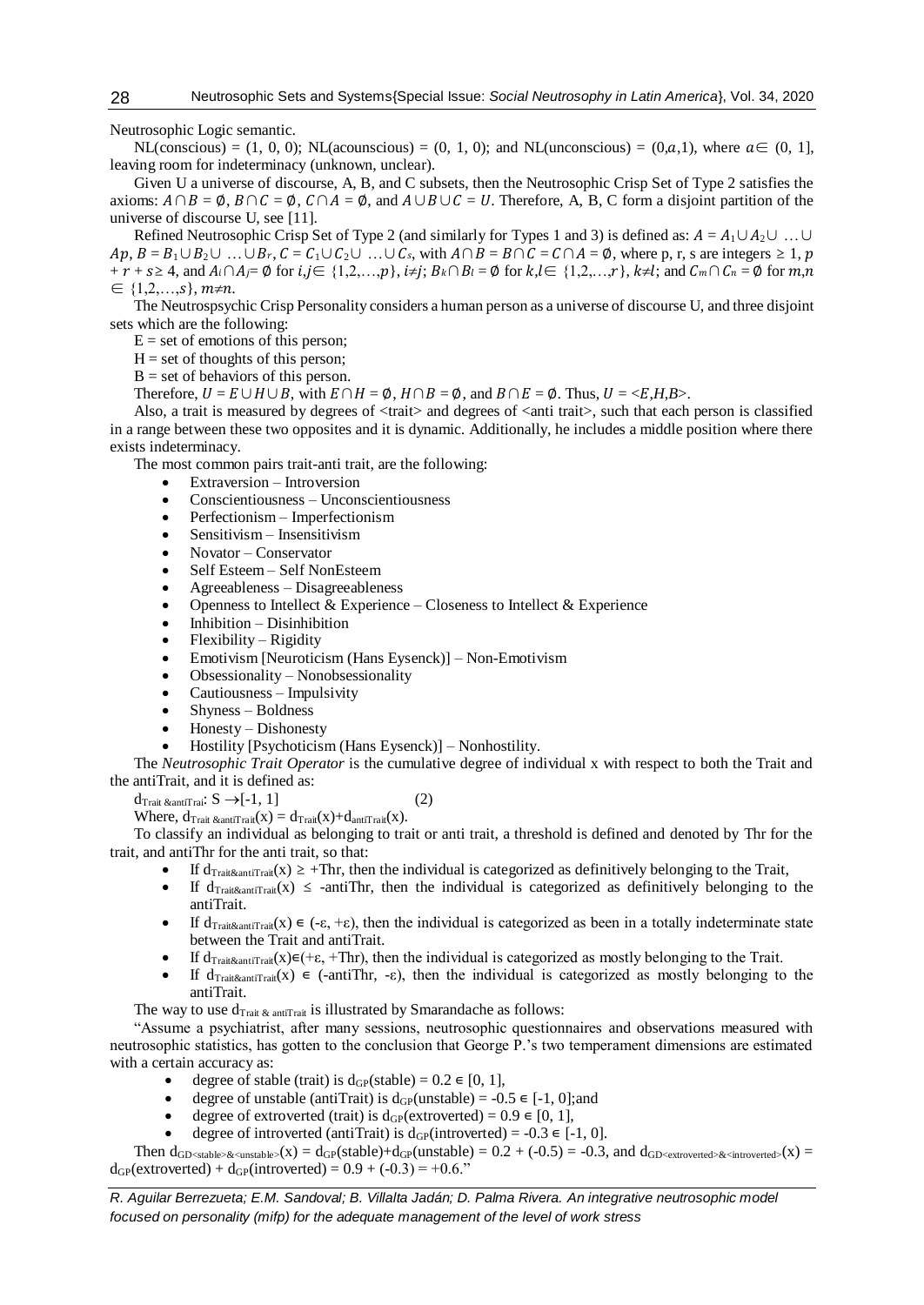Neutrosophic Logic semantic.

NL(conscious) = (1, 0, 0); NL(acounscious) = (0, 1, 0); and NL(unconscious) = (0,a,1), where  $a \in (0, 1]$ , leaving room for indeterminacy (unknown, unclear).

Given U a universe of discourse, A, B, and C subsets, then the Neutrosophic Crisp Set of Type 2 satisfies the axioms:  $A \cap B = \emptyset$ ,  $B \cap C = \emptyset$ ,  $C \cap A = \emptyset$ , and  $A \cup B \cup C = U$ . Therefore, A, B, C form a disjoint partition of the universe of discourse U, see [11].

Refined Neutrosophic Crisp Set of Type 2 (and similarly for Types 1 and 3) is defined as:  $A = A_1 \cup A_2 \cup ... \cup$  $Ap, B = B_1 \cup B_2 \cup ... \cup B_r, C = C_1 \cup C_2 \cup ... \cup C_s$ , with  $A \cap B = B \cap C = C \cap A = \emptyset$ , where p, r, s are integers ≥ 1, p  $+ r + s \geq 4$ , and  $A_i \cap A_j = \emptyset$  for  $i, j \in \{1,2,...,p\}$ ,  $i \neq j$ ;  $B_k \cap B_l = \emptyset$  for  $k, l \in \{1,2,...,r\}$ ,  $k \neq l$ ; and  $C_m \cap C_n = \emptyset$  for  $m, n$  $\in \{1,2,...,s\}, m \neq n.$ 

The Neutrospsychic Crisp Personality considers a human person as a universe of discourse U, and three disjoint sets which are the following:

 $E =$  set of emotions of this person;

 $H = set of thought of this person;$ 

 $B = set of behaviors of this person.$ 

Therefore,  $U = E \cup H \cup B$ , with  $E \cap H = \emptyset$ ,  $H \cap B = \emptyset$ , and  $B \cap E = \emptyset$ . Thus,  $U = \langle E, H, B \rangle$ .

Also, a trait is measured by degrees of <trait> and degrees of <anti trait>, such that each person is classified in a range between these two opposites and it is dynamic. Additionally, he includes a middle position where there exists indeterminacy.

The most common pairs trait-anti trait, are the following:

- Extraversion Introversion
- Conscientiousness Unconscientiousness
- Perfectionism Imperfectionism
- Sensitivism Insensitivism
- Novator Conservator
- Self Esteem Self NonEsteem
- Agreeableness Disagreeableness
- Openness to Intellect & Experience Closeness to Intellect & Experience
- Inhibition Disinhibition
- Flexibility Rigidity
- Emotivism [Neuroticism (Hans Eysenck)] Non-Emotivism
- Obsessionality Nonobsessionality
- Cautiousness Impulsivity
- Shyness Boldness
- Honesty Dishonesty
- Hostility [Psychoticism (Hans Eysenck)] Nonhostility.

The *Neutrosophic Trait Operator* is the cumulative degree of individual x with respect to both the Trait and the antiTrait, and it is defined as:

 $d_{\text{Trait} \&\text{antiTrai}: S \rightarrow [-1, 1]$  (2)

Where,  $d_{\text{Trait} \& \text{antiTrait}}(x) = d_{\text{Trait}}(x) + d_{\text{antiTrait}}(x)$ .

To classify an individual as belonging to trait or anti trait, a threshold is defined and denoted by Thr for the trait, and antiThr for the anti trait, so that:

- If  $d_{\text{Trait}$ antiTrait(x)  $\geq$  +Thr, then the individual is categorized as definitively belonging to the Trait,
- If  $d_{\text{Train}\&\text{antiTrain}}(x) \le$  -antiThr, then the individual is categorized as definitively belonging to the antiTrait.
- **If**  $d_{\text{Trait\&antiTrait}}(x) \in (-\varepsilon, +\varepsilon)$ , then the individual is categorized as been in a totally indeterminate state between the Trait and antiTrait.
- If  $d_{\text{Trait\&antiTrain}}(x) \in (+\varepsilon, +\text{Thr})$ , then the individual is categorized as mostly belonging to the Trait.
- If  $d_{\text{Trait\&antitrait}}(x) \in$  (-antiThr, -ε), then the individual is categorized as mostly belonging to the antiTrait.

The way to use  $d_{\text{Trait} \& \text{ antitrait}}$  is illustrated by Smarandache as follows:

"Assume a psychiatrist, after many sessions, neutrosophic questionnaires and observations measured with neutrosophic statistics, has gotten to the conclusion that George P.'s two temperament dimensions are estimated with a certain accuracy as:

- e degree of stable (trait) is  $d_{GP}(stable) = 0.2 \in [0, 1]$ ,
- $\bullet$  degree of unstable (antiTrait) is d<sub>GP</sub>(unstable) = -0.5 ∈ [-1, 0];and
- degree of extroverted (trait) is  $d_{GP}$ (extroverted) = 0.9  $\in$  [0, 1],
- degree of introverted (antiTrait) is  $d_{GP}$ (introverted) = -0.3  $\in$  [-1, 0].

Then  $d_{GD, and  $d_{GD$$  $d_{GP}$ (extroverted) +  $d_{GP}$ (introverted) = 0.9 + (-0.3) = +0.6."

*R. Aguilar Berrezueta; E.M. Sandoval; B. Villalta Jadán; D. Palma Rivera. An integrative neutrosophic model focused on personality (mifp) for the adequate management of the level of work stress*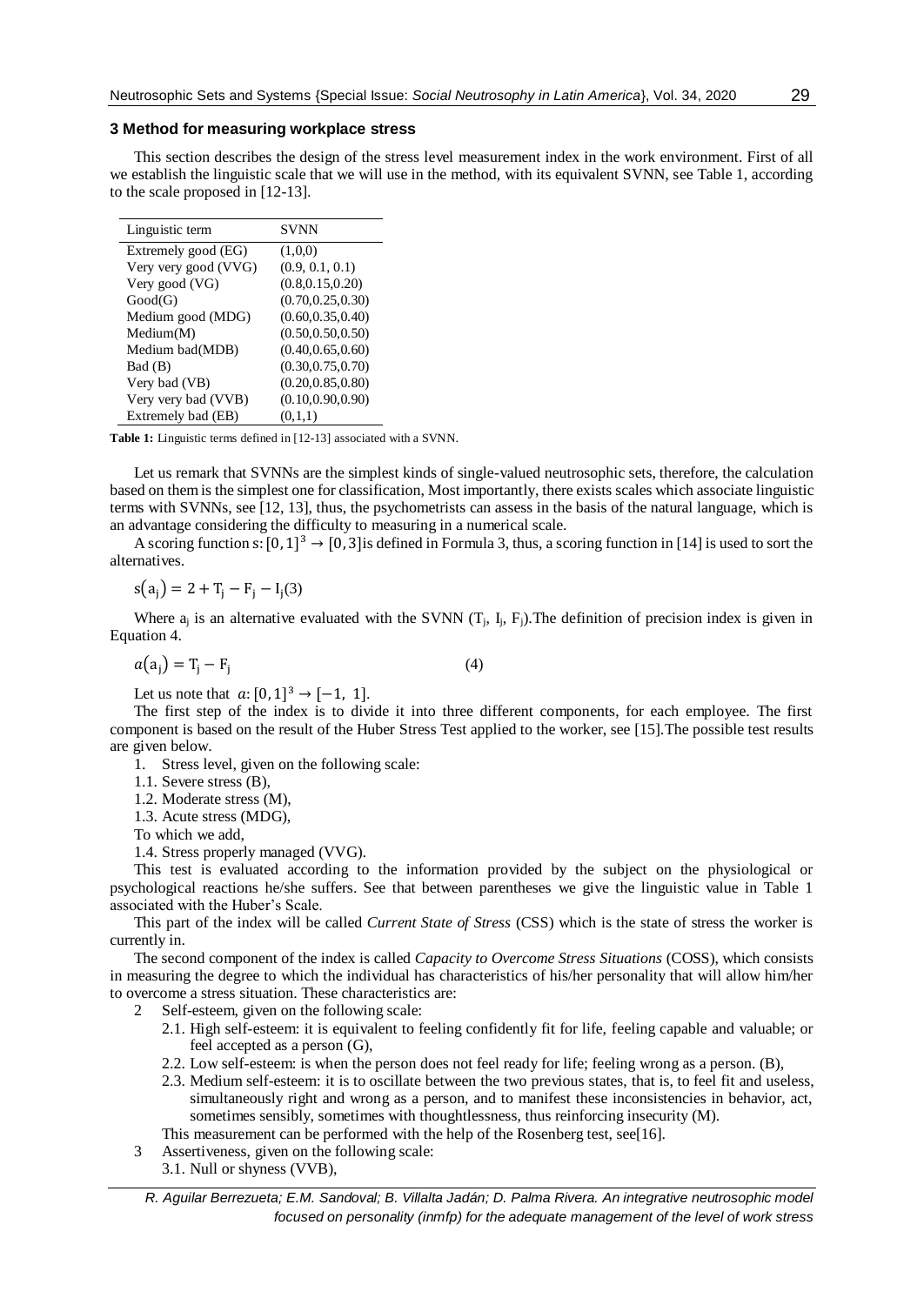#### **3 Method for measuring workplace stress**

This section describes the design of the stress level measurement index in the work environment. First of all we establish the linguistic scale that we will use in the method, with its equivalent SVNN, see Table 1, according to the scale proposed in [12-13].

| Linguistic term      | SVNN               |
|----------------------|--------------------|
| Extremely good (EG)  | (1,0,0)            |
| Very very good (VVG) | (0.9, 0.1, 0.1)    |
| Very good (VG)       | (0.8, 0.15, 0.20)  |
| Good(G)              | (0.70, 0.25, 0.30) |
| Medium good (MDG)    | (0.60, 0.35, 0.40) |
| Median(M)            | (0.50, 0.50, 0.50) |
| Medium bad(MDB)      | (0.40, 0.65, 0.60) |
| Bad (B)              | (0.30, 0.75, 0.70) |
| Very bad (VB)        | (0.20, 0.85, 0.80) |
| Very very bad (VVB)  | (0.10, 0.90, 0.90) |
| Extremely bad (EB)   | (0,1,1)            |

**Table 1:** Linguistic terms defined in [12-13] associated with a SVNN.

Let us remark that SVNNs are the simplest kinds of single-valued neutrosophic sets, therefore, the calculation based on them is the simplest one for classification, Most importantly, there exists scales which associate linguistic terms with SVNNs, see [12, 13], thus, the psychometrists can assess in the basis of the natural language, which is an advantage considering the difficulty to measuring in a numerical scale.

A scoring function s:  $[0, 1]^3 \rightarrow [0, 3]$  is defined in Formula 3, thus, a scoring function in [14] is used to sort the alternatives.

$$
s(a_j) = 2 + T_j - F_j - I_j(3)
$$

Where  $a_i$  is an alternative evaluated with the SVNN  $(T_i, I_i, F_j)$ . The definition of precision index is given in Equation 4.

$$
a(a_j) = T_j - F_j \tag{4}
$$

Let us note that  $a: [0, 1]^3 \to [-1, 1]$ .

The first step of the index is to divide it into three different components, for each employee. The first component is based on the result of the Huber Stress Test applied to the worker, see [15].The possible test results are given below.

- 1. Stress level, given on the following scale:
- 1.1. Severe stress (B),

1.2. Moderate stress (M),

1.3. Acute stress (MDG),

To which we add,

1.4. Stress properly managed (VVG).

This test is evaluated according to the information provided by the subject on the physiological or psychological reactions he/she suffers. See that between parentheses we give the linguistic value in Table 1 associated with the Huber's Scale.

This part of the index will be called *Current State of Stress* (CSS) which is the state of stress the worker is currently in.

The second component of the index is called *Capacity to Overcome Stress Situations* (COSS), which consists in measuring the degree to which the individual has characteristics of his/her personality that will allow him/her to overcome a stress situation. These characteristics are:

- 2 Self-esteem, given on the following scale:
	- 2.1. High self-esteem: it is equivalent to feeling confidently fit for life, feeling capable and valuable; or feel accepted as a person (G),
	- 2.2. Low self-esteem: is when the person does not feel ready for life; feeling wrong as a person. (B),
	- 2.3. Medium self-esteem: it is to oscillate between the two previous states, that is, to feel fit and useless, simultaneously right and wrong as a person, and to manifest these inconsistencies in behavior, act, sometimes sensibly, sometimes with thoughtlessness, thus reinforcing insecurity (M).
	- This measurement can be performed with the help of the Rosenberg test, see[16].
- 3 Assertiveness, given on the following scale:
	- 3.1. Null or shyness (VVB),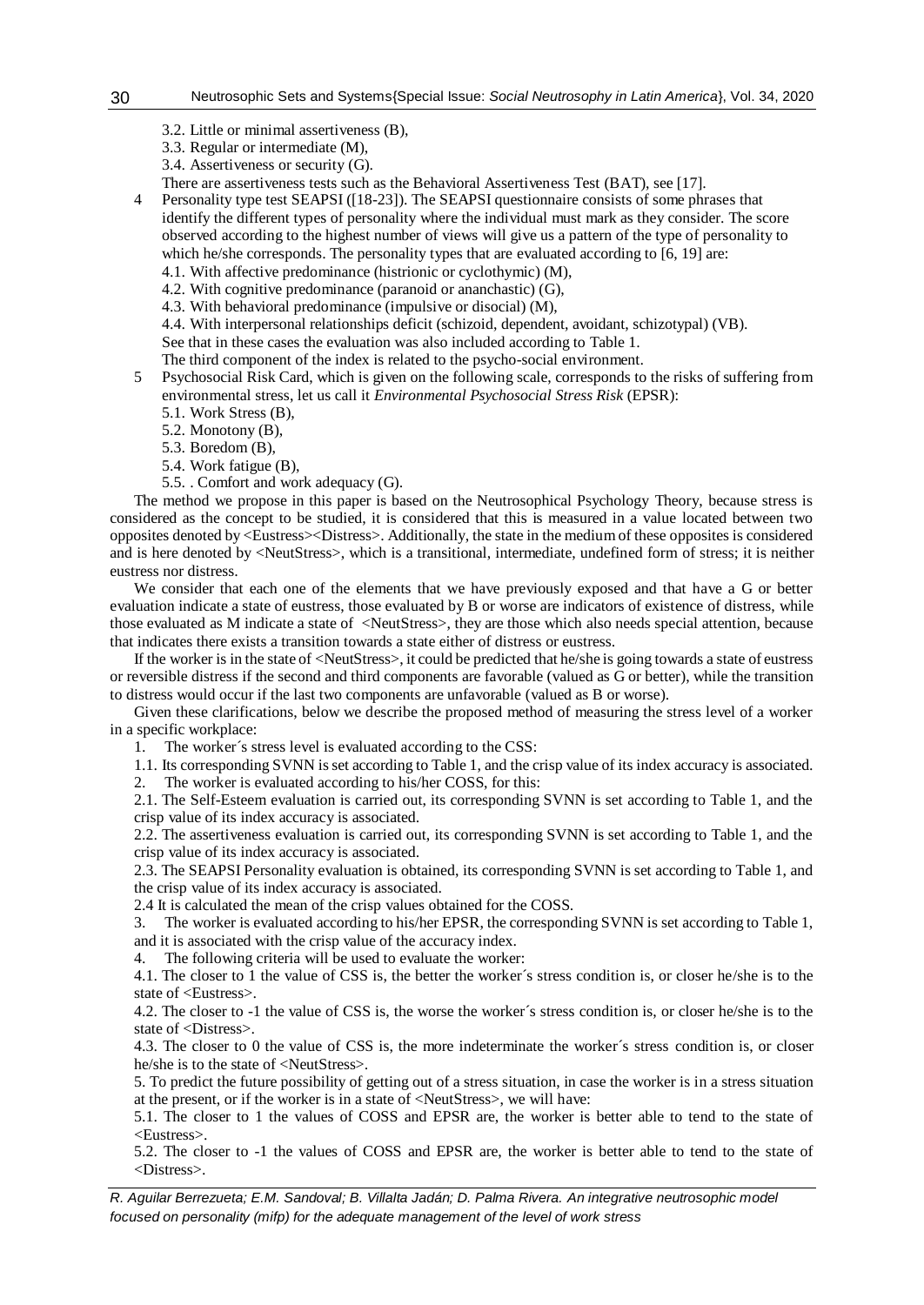- 3.2. Little or minimal assertiveness (B),
- 3.3. Regular or intermediate (M),
- 3.4. Assertiveness or security (G).
- There are assertiveness tests such as the Behavioral Assertiveness Test (BAT), see [17].

4 Personality type test SEAPSI ([18-23]). The SEAPSI questionnaire consists of some phrases that identify the different types of personality where the individual must mark as they consider. The score observed according to the highest number of views will give us a pattern of the type of personality to which he/she corresponds. The personality types that are evaluated according to [6, 19] are:

- 4.1. With affective predominance (histrionic or cyclothymic) (M),
- 4.2. With cognitive predominance (paranoid or ananchastic) (G),
- 4.3. With behavioral predominance (impulsive or disocial) (M),

4.4. With interpersonal relationships deficit (schizoid, dependent, avoidant, schizotypal) (VB).

See that in these cases the evaluation was also included according to Table 1.

The third component of the index is related to the psycho-social environment.

- 5 Psychosocial Risk Card, which is given on the following scale, corresponds to the risks of suffering from environmental stress, let us call it *Environmental Psychosocial Stress Risk* (EPSR):
	- 5.1. Work Stress (B),
	- 5.2. Monotony (B),
	- 5.3. Boredom (B),
	- 5.4. Work fatigue (B),
	- 5.5. . Comfort and work adequacy (G).

The method we propose in this paper is based on the Neutrosophical Psychology Theory, because stress is considered as the concept to be studied, it is considered that this is measured in a value located between two opposites denoted by <Eustress><Distress>. Additionally, the state in the medium of these opposites is considered and is here denoted by <NeutStress>, which is a transitional, intermediate, undefined form of stress; it is neither eustress nor distress.

We consider that each one of the elements that we have previously exposed and that have a G or better evaluation indicate a state of eustress, those evaluated by B or worse are indicators of existence of distress, while those evaluated as M indicate a state of <NeutStress>, they are those which also needs special attention, because that indicates there exists a transition towards a state either of distress or eustress.

If the worker is in the state of <NeutStress>, it could be predicted that he/she is going towards a state of eustress or reversible distress if the second and third components are favorable (valued as G or better), while the transition to distress would occur if the last two components are unfavorable (valued as B or worse).

Given these clarifications, below we describe the proposed method of measuring the stress level of a worker in a specific workplace:

1. The worker´s stress level is evaluated according to the CSS:

1.1. Its corresponding SVNN is set according to Table 1, and the crisp value of its index accuracy is associated.

2. The worker is evaluated according to his/her COSS, for this:

2.1. The Self-Esteem evaluation is carried out, its corresponding SVNN is set according to Table 1, and the crisp value of its index accuracy is associated.

2.2. The assertiveness evaluation is carried out, its corresponding SVNN is set according to Table 1, and the crisp value of its index accuracy is associated.

2.3. The SEAPSI Personality evaluation is obtained, its corresponding SVNN is set according to Table 1, and the crisp value of its index accuracy is associated.

2.4 It is calculated the mean of the crisp values obtained for the COSS.

3. The worker is evaluated according to his/her EPSR, the corresponding SVNN is set according to Table 1, and it is associated with the crisp value of the accuracy index.

4. The following criteria will be used to evaluate the worker:

4.1. The closer to 1 the value of CSS is, the better the worker´s stress condition is, or closer he/she is to the state of <Eustress>.

4.2. The closer to -1 the value of CSS is, the worse the worker´s stress condition is, or closer he/she is to the state of <Distress>.

4.3. The closer to 0 the value of CSS is, the more indeterminate the worker´s stress condition is, or closer he/she is to the state of <NeutStress>.

5. To predict the future possibility of getting out of a stress situation, in case the worker is in a stress situation at the present, or if the worker is in a state of <NeutStress>, we will have:

5.1. The closer to 1 the values of COSS and EPSR are, the worker is better able to tend to the state of <Eustress>.

5.2. The closer to -1 the values of COSS and EPSR are, the worker is better able to tend to the state of <Distress>.

*R. Aguilar Berrezueta; E.M. Sandoval; B. Villalta Jadán; D. Palma Rivera. An integrative neutrosophic model focused on personality (mifp) for the adequate management of the level of work stress*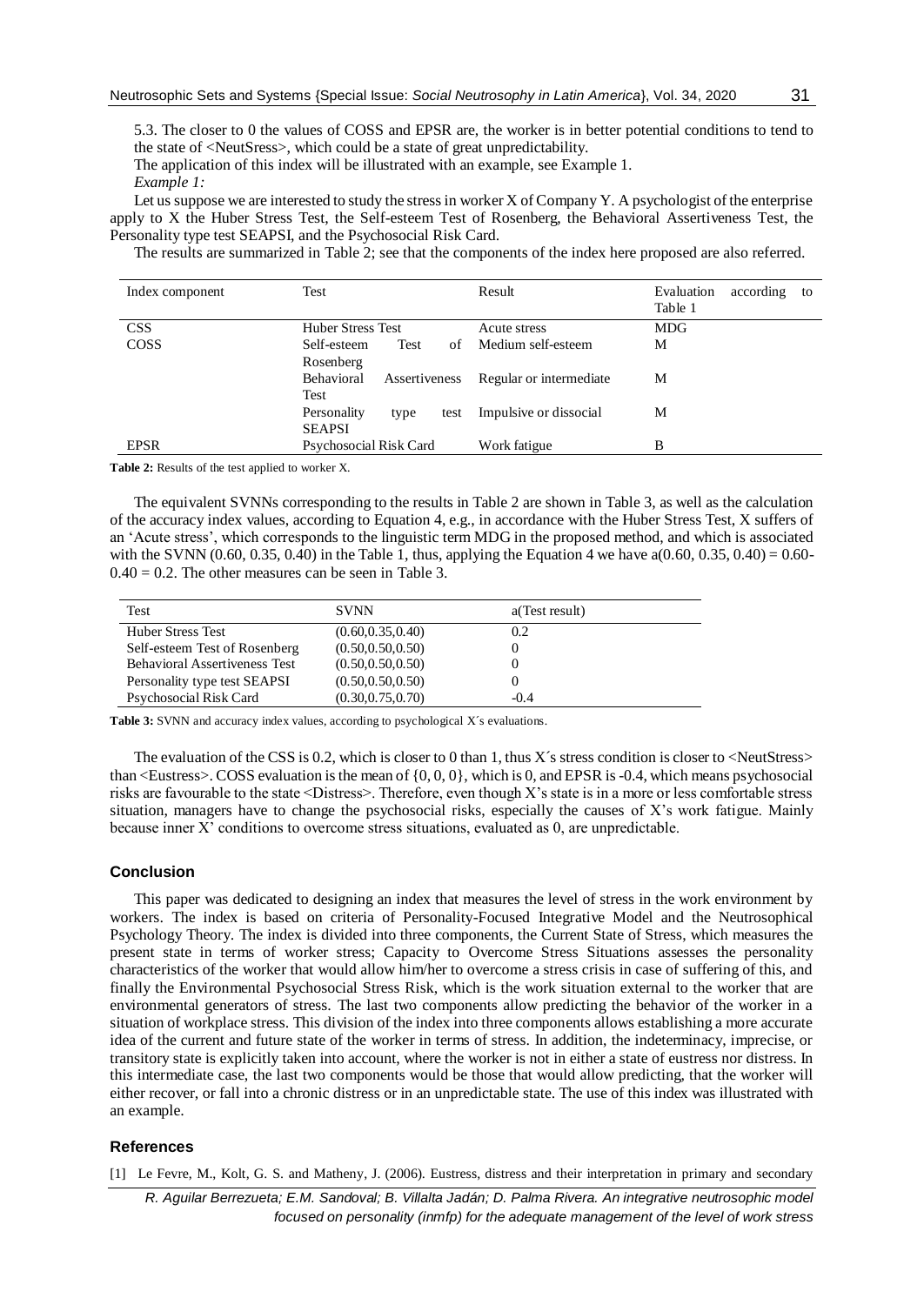5.3. The closer to 0 the values of COSS and EPSR are, the worker is in better potential conditions to tend to the state of <NeutSress>, which could be a state of great unpredictability.

The application of this index will be illustrated with an example, see Example 1. *Example 1:*

Let us suppose we are interested to study the stress in worker X of Company Y. A psychologist of the enterprise apply to X the Huber Stress Test, the Self-esteem Test of Rosenberg, the Behavioral Assertiveness Test, the Personality type test SEAPSI, and the Psychosocial Risk Card.

The results are summarized in Table 2; see that the components of the index here proposed are also referred.

| Index component | Test                        | Result                   | Evaluation<br>according<br>to<br>Table 1 |
|-----------------|-----------------------------|--------------------------|------------------------------------------|
| <b>CSS</b>      | <b>Huber Stress Test</b>    | Acute stress             | <b>MDG</b>                               |
| <b>COSS</b>     | Test<br>Self-esteem<br>of   | Medium self-esteem       | М                                        |
|                 | Rosenberg                   |                          |                                          |
|                 | Behavioral<br>Assertiveness | Regular or intermediate. | М                                        |
|                 | Test                        |                          |                                          |
|                 | Personality<br>test<br>type | Impulsive or dissocial   | М                                        |
|                 | <b>SEAPSI</b>               |                          |                                          |
| <b>EPSR</b>     | Psychosocial Risk Card      | Work fatigue             | B                                        |

**Table 2:** Results of the test applied to worker X.

The equivalent SVNNs corresponding to the results in Table 2 are shown in Table 3, as well as the calculation of the accuracy index values, according to Equation 4, e.g., in accordance with the Huber Stress Test, X suffers of an 'Acute stress', which corresponds to the linguistic term MDG in the proposed method, and which is associated with the SVNN (0.60, 0.35, 0.40) in the Table 1, thus, applying the Equation 4 we have a(0.60, 0.35, 0.40) = 0.60- $0.40 = 0.2$ . The other measures can be seen in Table 3.

| Test                                 | <b>SVNN</b>        | a(Test result) |
|--------------------------------------|--------------------|----------------|
| <b>Huber Stress Test</b>             | (0.60, 0.35, 0.40) | 0.2            |
| Self-esteem Test of Rosenberg        | (0.50, 0.50, 0.50) | $\theta$       |
| <b>Behavioral Assertiveness Test</b> | (0.50, 0.50, 0.50) |                |
| Personality type test SEAPSI         | (0.50, 0.50, 0.50) | $_{0}$         |
| Psychosocial Risk Card               | (0.30, 0.75, 0.70) | $-0.4$         |

Table 3: SVNN and accuracy index values, according to psychological X's evaluations.

The evaluation of the CSS is 0.2, which is closer to 0 than 1, thus X's stress condition is closer to  $\leq$ NeutStress> than <Eustress>. COSS evaluation is the mean of  $\{0, 0, 0\}$ , which is 0, and EPSR is -0.4, which means psychosocial risks are favourable to the state <Distress>. Therefore, even though X's state is in a more or less comfortable stress situation, managers have to change the psychosocial risks, especially the causes of X's work fatigue. Mainly because inner X' conditions to overcome stress situations, evaluated as 0, are unpredictable.

## **Conclusion**

This paper was dedicated to designing an index that measures the level of stress in the work environment by workers. The index is based on criteria of Personality-Focused Integrative Model and the Neutrosophical Psychology Theory. The index is divided into three components, the Current State of Stress, which measures the present state in terms of worker stress; Capacity to Overcome Stress Situations assesses the personality characteristics of the worker that would allow him/her to overcome a stress crisis in case of suffering of this, and finally the Environmental Psychosocial Stress Risk, which is the work situation external to the worker that are environmental generators of stress. The last two components allow predicting the behavior of the worker in a situation of workplace stress. This division of the index into three components allows establishing a more accurate idea of the current and future state of the worker in terms of stress. In addition, the indeterminacy, imprecise, or transitory state is explicitly taken into account, where the worker is not in either a state of eustress nor distress. In this intermediate case, the last two components would be those that would allow predicting, that the worker will either recover, or fall into a chronic distress or in an unpredictable state. The use of this index was illustrated with an example.

#### **References**

[1] Le Fevre, M., Kolt, G. S. and Matheny, J. (2006). Eustress, distress and their interpretation in primary and secondary

*R. Aguilar Berrezueta; E.M. Sandoval; B. Villalta Jadán; D. Palma Rivera. An integrative neutrosophic model focused on personality (inmfp) for the adequate management of the level of work stress*